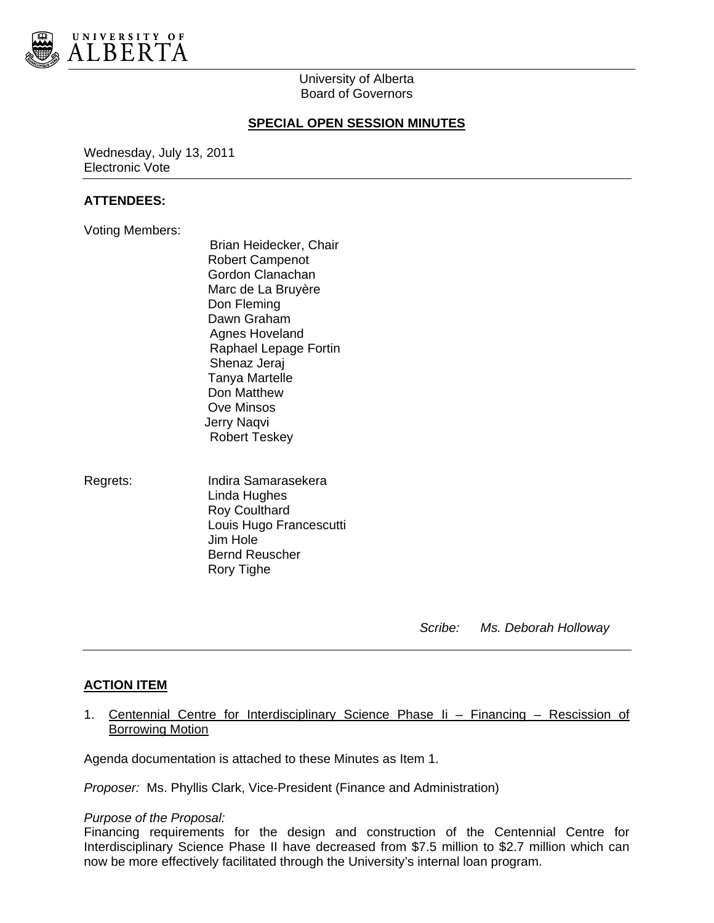

# University of Alberta Board of Governors

## **SPECIAL OPEN SESSION MINUTES**

Wednesday, July 13, 2011 Electronic Vote

## **ATTENDEES:**

- Voting Members:
- Brian Heidecker, Chair Robert Campenot Gordon Clanachan Marc de La Bruyère Don Fleming Dawn Graham Agnes Hoveland Raphael Lepage Fortin Shenaz Jeraj Tanya Martelle Don Matthew Ove Minsos Jerry Naqvi Robert Teskey
- Regrets: Indira Samarasekera Linda Hughes Roy Coulthard Louis Hugo Francescutti Jim Hole Bernd Reuscher Rory Tighe

 *Scribe: Ms. Deborah Holloway* 

# **ACTION ITEM**

1. Centennial Centre for Interdisciplinary Science Phase Ii – Financing – Rescission of Borrowing Motion

Agenda documentation is attached to these Minutes as Item 1.

*Proposer:* Ms. Phyllis Clark, Vice-President (Finance and Administration)

#### *Purpose of the Proposal:*

Financing requirements for the design and construction of the Centennial Centre for Interdisciplinary Science Phase II have decreased from \$7.5 million to \$2.7 million which can now be more effectively facilitated through the University's internal loan program.